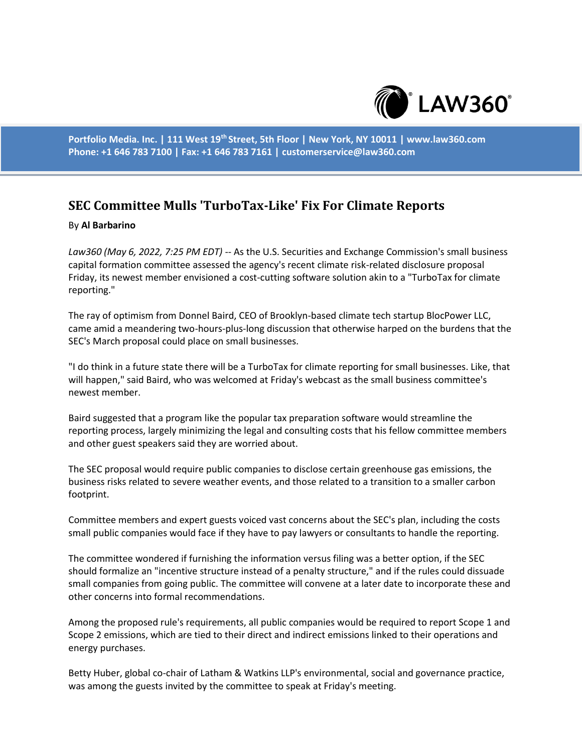

**Portfolio Media. Inc. | 111 West 19th Street, 5th Floor | New York, NY 10011 | www.law360.com Phone: +1 646 783 7100 | Fax: +1 646 783 7161 | customerservice@law360.com**

## **SEC Committee Mulls 'TurboTax-Like' Fix For Climate Reports**

## By **Al Barbarino**

*Law360 (May 6, 2022, 7:25 PM EDT)* -- As the U.S. Securities and Exchange Commission's small business capital formation committee assessed the agency's recent climate risk-related disclosure proposal Friday, its newest member envisioned a cost-cutting software solution akin to a "TurboTax for climate reporting."

The ray of optimism from Donnel Baird, CEO of Brooklyn-based climate tech startup BlocPower LLC, came amid a meandering two-hours-plus-long discussion that otherwise harped on the burdens that the SEC's March proposal could place on small businesses.

"I do think in a future state there will be a TurboTax for climate reporting for small businesses. Like, that will happen," said Baird, who was welcomed at Friday's webcast as the small business committee's newest member.

Baird suggested that a program like the popular tax preparation software would streamline the reporting process, largely minimizing the legal and consulting costs that his fellow committee members and other guest speakers said they are worried about.

The SEC proposal would require public companies to disclose certain greenhouse gas emissions, the business risks related to severe weather events, and those related to a transition to a smaller carbon footprint.

Committee members and expert guests voiced vast concerns about the SEC's plan, including the costs small public companies would face if they have to pay lawyers or consultants to handle the reporting.

The committee wondered if furnishing the information versus filing was a better option, if the SEC should formalize an "incentive structure instead of a penalty structure," and if the rules could dissuade small companies from going public. The committee will convene at a later date to incorporate these and other concerns into formal recommendations.

Among the proposed rule's requirements, all public companies would be required to report Scope 1 and Scope 2 emissions, which are tied to their direct and indirect emissions linked to their operations and energy purchases.

Betty Huber, global co-chair of Latham & Watkins LLP's environmental, social and governance practice, was among the guests invited by the committee to speak at Friday's meeting.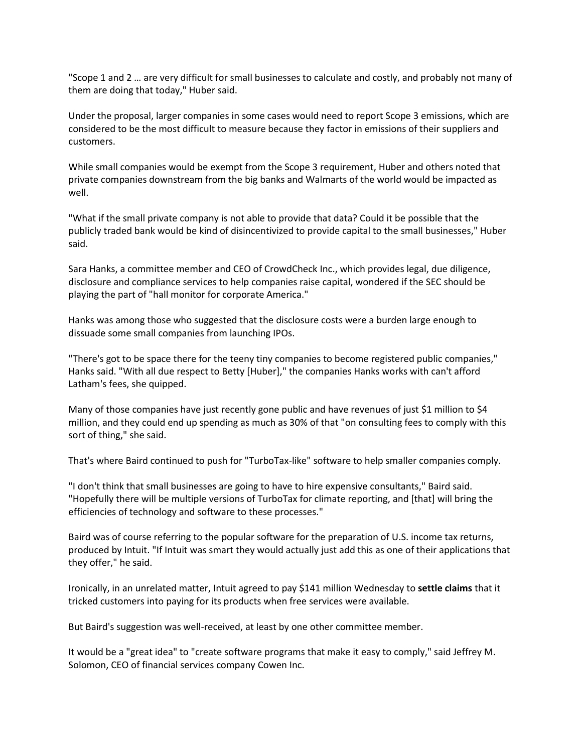"Scope 1 and 2 … are very difficult for small businesses to calculate and costly, and probably not many of them are doing that today," Huber said.

Under the proposal, larger companies in some cases would need to report Scope 3 emissions, which are considered to be the most difficult to measure because they factor in emissions of their suppliers and customers.

While small companies would be exempt from the Scope 3 requirement, Huber and others noted that private companies downstream from the big banks and Walmarts of the world would be impacted as well.

"What if the small private company is not able to provide that data? Could it be possible that the publicly traded bank would be kind of disincentivized to provide capital to the small businesses," Huber said.

Sara Hanks, a committee member and CEO of CrowdCheck Inc., which provides legal, due diligence, disclosure and compliance services to help companies raise capital, wondered if the SEC should be playing the part of "hall monitor for corporate America."

Hanks was among those who suggested that the disclosure costs were a burden large enough to dissuade some small companies from launching IPOs.

"There's got to be space there for the teeny tiny companies to become registered public companies," Hanks said. "With all due respect to Betty [Huber]," the companies Hanks works with can't afford Latham's fees, she quipped.

Many of those companies have just recently gone public and have revenues of just \$1 million to \$4 million, and they could end up spending as much as 30% of that "on consulting fees to comply with this sort of thing," she said.

That's where Baird continued to push for "TurboTax-like" software to help smaller companies comply.

"I don't think that small businesses are going to have to hire expensive consultants," Baird said. "Hopefully there will be multiple versions of TurboTax for climate reporting, and [that] will bring the efficiencies of technology and software to these processes."

Baird was of course referring to the popular software for the preparation of U.S. income tax returns, produced by Intuit. "If Intuit was smart they would actually just add this as one of their applications that they offer," he said.

Ironically, in an unrelated matter, Intuit agreed to pay \$141 million Wednesday to **settle claims** that it tricked customers into paying for its products when free services were available.

But Baird's suggestion was well-received, at least by one other committee member.

It would be a "great idea" to "create software programs that make it easy to comply," said Jeffrey M. Solomon, CEO of financial services company Cowen Inc.